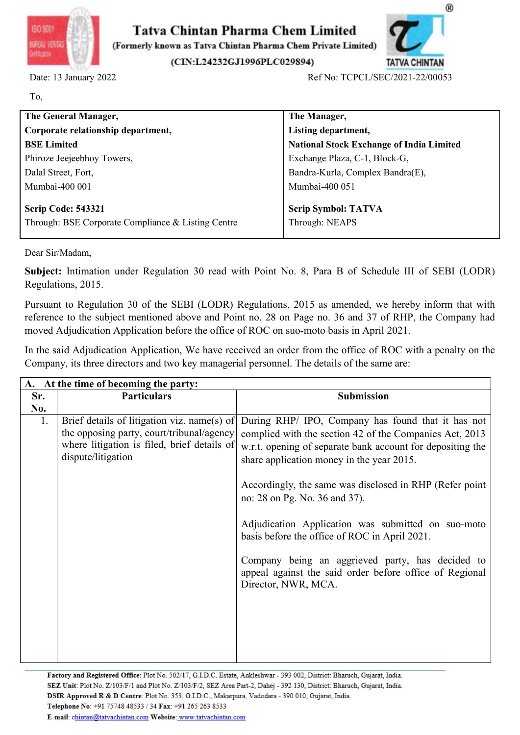



| ISO 9001<br>BUREAU VERITA                          |                                                                                             | $^{\circledR}$<br>Tatva Chintan Pharma Chem Limited<br>(Formerly known as Tatva Chintan Pharma Chem Private Limited)                                                                                             |
|----------------------------------------------------|---------------------------------------------------------------------------------------------|------------------------------------------------------------------------------------------------------------------------------------------------------------------------------------------------------------------|
|                                                    | Date: 13 January 2022                                                                       | (CIN:L24232GJ1996PLC029894)<br><b>TATVA CHINTAN</b><br>Ref No: TCPCL/SEC/2021-22/00053                                                                                                                           |
| To,                                                |                                                                                             |                                                                                                                                                                                                                  |
|                                                    | The General Manager,                                                                        | The Manager,                                                                                                                                                                                                     |
| Corporate relationship department,                 |                                                                                             | Listing department,                                                                                                                                                                                              |
| <b>BSE Limited</b>                                 |                                                                                             | <b>National Stock Exchange of India Limited</b>                                                                                                                                                                  |
| Phiroze Jeejeebhoy Towers,                         |                                                                                             | Exchange Plaza, C-1, Block-G,                                                                                                                                                                                    |
| Dalal Street, Fort,                                |                                                                                             | Bandra-Kurla, Complex Bandra(E),                                                                                                                                                                                 |
| Mumbai-400 001                                     |                                                                                             | Mumbai-400 051                                                                                                                                                                                                   |
|                                                    | <b>Scrip Code: 543321</b>                                                                   | <b>Scrip Symbol: TATVA</b>                                                                                                                                                                                       |
| Through: BSE Corporate Compliance & Listing Centre |                                                                                             | Through: NEAPS                                                                                                                                                                                                   |
| Dear Sir/Madam,                                    |                                                                                             |                                                                                                                                                                                                                  |
|                                                    | Regulations, 2015.                                                                          | Subject: Intimation under Regulation 30 read with Point No. 8, Para B of Schedule III of SEBI (LODR)                                                                                                             |
|                                                    | moved Adjudication Application before the office of ROC on suo-moto basis in April 2021.    | Pursuant to Regulation 30 of the SEBI (LODR) Regulations, 2015 as amended, we hereby inform that with<br>reference to the subject mentioned above and Point no. 28 on Page no. 36 and 37 of RHP, the Company had |
|                                                    | Company, its three directors and two key managerial personnel. The details of the same are: | In the said Adjudication Application, We have received an order from the office of ROC with a penalty on the                                                                                                     |
|                                                    | A. At the time of becoming the party:                                                       |                                                                                                                                                                                                                  |
| Sr.                                                | <b>Particulars</b>                                                                          | Submission                                                                                                                                                                                                       |
| No.<br>1.                                          | Brief details of litigation viz. name(s) of<br>the opposing party, court/tribunal/agency    | During RHP/ IPO, Company has found that it has not<br>complied with the section 42 of the Companies Act, 2013                                                                                                    |